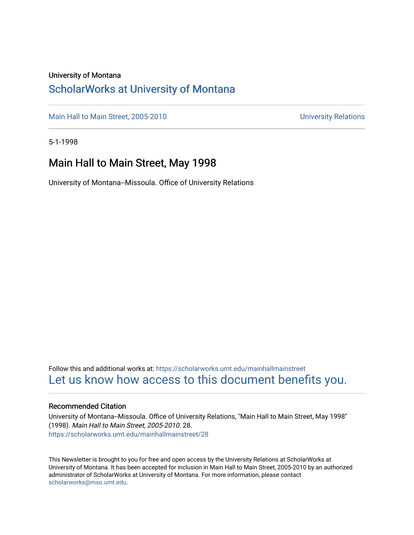#### University of Montana

#### [ScholarWorks at University of Montana](https://scholarworks.umt.edu/)

[Main Hall to Main Street, 2005-2010](https://scholarworks.umt.edu/mainhallmainstreet) Main Hall to Main Street, 2005-2010

5-1-1998

#### Main Hall to Main Street, May 1998

University of Montana--Missoula. Office of University Relations

Follow this and additional works at: [https://scholarworks.umt.edu/mainhallmainstreet](https://scholarworks.umt.edu/mainhallmainstreet?utm_source=scholarworks.umt.edu%2Fmainhallmainstreet%2F28&utm_medium=PDF&utm_campaign=PDFCoverPages) [Let us know how access to this document benefits you.](https://goo.gl/forms/s2rGfXOLzz71qgsB2) 

#### Recommended Citation

University of Montana--Missoula. Office of University Relations, "Main Hall to Main Street, May 1998" (1998). Main Hall to Main Street, 2005-2010. 28. [https://scholarworks.umt.edu/mainhallmainstreet/28](https://scholarworks.umt.edu/mainhallmainstreet/28?utm_source=scholarworks.umt.edu%2Fmainhallmainstreet%2F28&utm_medium=PDF&utm_campaign=PDFCoverPages) 

This Newsletter is brought to you for free and open access by the University Relations at ScholarWorks at University of Montana. It has been accepted for inclusion in Main Hall to Main Street, 2005-2010 by an authorized administrator of ScholarWorks at University of Montana. For more information, please contact [scholarworks@mso.umt.edu.](mailto:scholarworks@mso.umt.edu)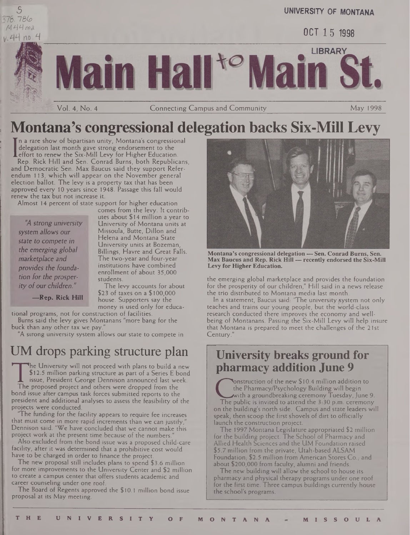



**UNIVERSITY OF MONTANA**

OCT 15 1998

LIBRARY in Hal

Vol. 4, No. 4 **Connecting Campus and Community** May 1998

## **Montana's congressional delegation backs Six-Mill Levy**

n a rare show of bipartisan unity, Montana's congressional delegation last month gave strong endorsement to the

**Leffort to renew the Six-Mill Levy for Higher Education.**<br>Rep. Rick Hill and Sen. Conrad Burns, both Republic Rep. Rick Hill and Sen. Conrad Burns, both Republicans, and Democratic Sen. Max Baucus said they support Referendum 113, which will appear on the November general election ballot. The levy is a property tax that has been approved every 10 years since 1948. Passage this fall would renew the tax but not increase it.

Almost 14 percent of state support for higher education

*"A strong university system allows bur state to compete in the emerging global marketplace and provides the foundation for the prosperity ofour children."*

comes from the levy. It contributes about \$14 million a year to University of Montana units at Missoula, Butte, Dillon and Helena and Montana State University units at Bozeman, Billings, Havre and Great Falls. The two-year and four-year institutions have combined enrollment of about 35,000 students. The levy accounts for about

**—Rep. Rick Hill**

\$23 of taxes on a \$100,000 house. Supporters say the money is used only for educational programs, not for construction of facilities.

Bums said the levy gives Montanans "more bang for the buck than any other tax we pay.'

"A strong university system allows our state to compete in

## UM drops parking structure plan

\$12.5 million parking structure as part of a Series E b<br>issue, President George Dennison announced last we<br>The proposed project and others were dropped from the<br>bond issue after campus task forces submitted reports to the he University will not proceed with plans to build a new \$12.5 million parking structure as part of a Series E bond issue, President George Dennison announced last week. The proposed project and others were dropped from the president and additional analyses to assess the feasibility of the projects were conducted.

'The funding for the facility appears to require fee increases that must come in more rapid increments than we can justify, Dennison said. "We have concluded that we cannot make this project work at the present time because of the numbers.

Also excluded from the bond issue was a proposed child-care facility, after it was determined that a prohibitive cost would have to be charged in order to finance the project.

The new proposal still includes plans to spend \$3.6 million for more improvements to the University Center and \$2 million to create a campus center that offers students academic and career counseling under one roof.

The Board of Regents approved the \$ 10.1 million bond issue proposal at its May meeting.



**Montana's congressional delegation — Sen. Conrad Bums, Sen. Max Baucus and Rep. Rick Hill — recently endorsed the Six-Mill Levy for Higher Education.**

the emerging global marketplace and provides the foundation for the prosperity of our children," Hill said in a news release the trio distributed to Montana media last month.

In a statement, Baucus said: "The university system not only teaches and trains our young people, but the world-class research conducted there improves the economy and wellbeing of Montanans. Passing the Six-Mill Levy will help insure that Montana is prepared to meet the challenges of the 21st Century." Montana's congressional delegation — Sen. Conrad Burns, Sen<br>Max Baucus and Rep. Rick Hill — recently endorsed the Six-M<br>Levy for Higher Education.<br>the emerging global marketplace and provides the foundation<br>to the prosperi

### **University breaks ground for pharmacy addition June 9**

EXERCTION OF the Hew \$10.4 minion addition to<br>the Pharmacy/Psychology Building will begin<br>with a groundbreaking ceremony Tuesday, June 9.<br>On the building's north side. Campus and state leaders will Onstruction of the new \$10.4 million addition to the Pharmacy/Psychology Building will begin with a groundbreaking ceremony Tuesday,June 9.

The public is invited to attend the 3:30 p.m. ceremony speak, then scoop the first shovels of dirt to officially launch the construction project.

The 1997 Montana Legislature appropriated \$2 million for the building project. The School of Pharmacy and Allied Health Sciences and the UM Foundation raised \$5.7 million from the private, Utah-based ALSAM Foundation, \$2.5 million from American Stores Co., and about \$200,000 from faculty, alumni and friends.

The new building will allow the school to house its pharmacy and physical therapy programs under one roof for the first time. Three campus buildings currently house the school's programs.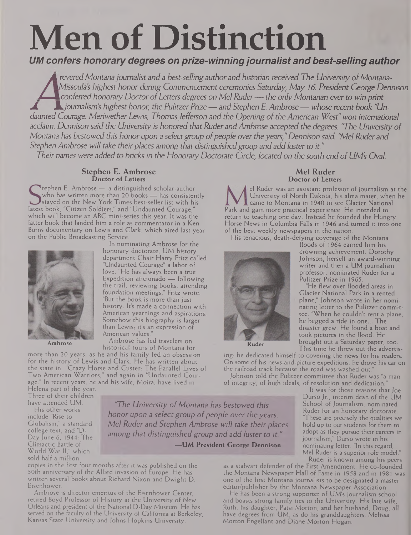# **Men of Distinction**

*UM confers honorary degrees on prize-winningjournalist and best-selling author*

revered Montana journalist and a best-selling author and historian received The University of Montana-<br>Missoula's highest honor during Commencement ceremonies Saturday, May 16. President George Dennison Missoula's highest honor during Commencement ceremonies Saturday, May 16. President George Dennison<br>Conferred honorary Doctor of Letters degrees on Mel Ruder — the only Montanan ever to win print ± JL*journalism's highest honor, the Pulitzer Prize —and Stephen E. Ambrose — whose recent book "Undaunted Courage: Meriwether Lewis, ThomasJefferson and the Opening ofthe American West"won international* acclaim. Dennison said the University is honored that Ruder and Ambrose accepted the degrees. "The University of Montana has bestowed this honor upon a select group of people over the years," Dennison said. "Mel Ruder and *Stephen Ambrose will take their places among that distinguishedgroup and add luster to it."* Their names were added to bricks in the Honorary Doctorate Circle, located on the south end of UM's Oval.

#### **Stephen E. Ambrose Doctor of Letters**

tephen E. Ambrose — a distinguished scholar-author who has written more than 20 books — has consistently stayed on the New York Times best-seller list with his latest book, "Citizen Soldiers," and "Undaunted Courage," which will become an ABC mini-series this year. It was the latter book that landed him a role as commentator in a Ken Burns documentary on Lewis and Clark, which aired last year on the Public Broadcasting Service.



**Ambrose**

In nominating Ambrose for the honorary doctorate, UM history department Chair Harry Fritz called "Undaunted Courage" a labor of love. "He has always been a true Expedition aficionado — following the trail, reviewing books, attending foundation meetings," Fritz wrote. "But the book is more than just history. It's made a connection with American yearnings and aspirations. Somehow this biography is larger than Lewis, it's an expression of American values."

Ambrose has led travelers on historical tours of Montana for

more than 20 years, as he and his family fed an obsession for the history of Lewis and Clark. He has written about the state in "Crazy Horse and Custer: The Parallel Lives of Two American Warriors," and again in "Undaunted Courage." In recent years, he and his wife, Moira, have lived in

Helena part of the year. Three of their children have attended UM.

His other works include "Rise to Globalism," a standard college text, and "D-Day June 6, 1944: The Climactic Battle of World War II," which sold half a million

*'The University ofMontana has bestowed this honor upon <sup>a</sup> select group ofpeople over the years. Mel Ruder and Stephen Ambrose will take their places among that distinguished group and add luster to it."*

**—IIM President George Dennison**

copies in the first four months after it was published on the 50th anniversary of the Allied invasion of Europe. He has written several books about Richard Nixon and Dwight D. Eisenhower.

Ambrose is director emeritus of the Eisenhower Center, retired Boyd Professor of History at the University of New Orleans and president of the National D-Day Museum. He has served on the faculty of the University of California at Berkeley, Kansas State University and Johns Hopkins University.

#### **Mel Ruder Doctor of Letters**

el Ruder was an assistant professor of journalism at the University of North Dakota, his alma mater, when he came to Montana in 1940 to see Glacier National Park and gain more practical experience. He intended to return to teaching one day. Instead he founded the Hungry Horse News in Columbia Falls in 1946 and turned it into one of the best weekly newspapers in the nation.

> crowning achievement. Dorothy Johnson, herself an award-winning writer and then a UM journalism professor, nominated Ruder for a

"He flew over flooded areas in Glacier National Park in a rented plane," Johnson wrote in her nominating letter to the Pulitzer committee. "When he couldn't rent a plane, he begged a ride in one... The disaster grew. He found a boat and took pictures in the flood. He brought out a Saturday paper, too.

Pulitzer Prize in 1965.

His tenacious, death-defying coverage of the Montana floods of 1964 earned him his



**Ruder**

This time he threw out the advertising: he dedicated himself to covering the news for his readers. On some of his news-and-picture expeditions, he drove his car on the railroad track because the road was washed out.

Johnson told the Pulitzer committee that Ruder was "a man of integrity, of high ideals, of resolution and dedication."

It was for those reasons that Joe Durso Jr., interim dean of the UM School of Journalism, nominated Ruder for an honorary doctorate. "These are precisely the qualities we hold up to our students for them to adopt as they pursue their careers in journalism," Durso wrote in his nominating letter. "In this regard, Mel Ruder is a superior role model." Ruder is known among his peers

as a stalwart defender of the First Amendment. He co-founded the Montana Newspaper Hall of Fame in 1958 and in 1981 was one of the first Montana journalists to be designated a master editor/publisher by the Montana Newspaper Association.

He has been a strong supporter of UM's journalism school and boasts strong family ties to the University. His late wife, Ruth, his daughter, Patsi Morton, and her husband, Doug, all have degrees from UM, as do his granddaughters, Melissa Morton Engellant and Diane Morton Hogan.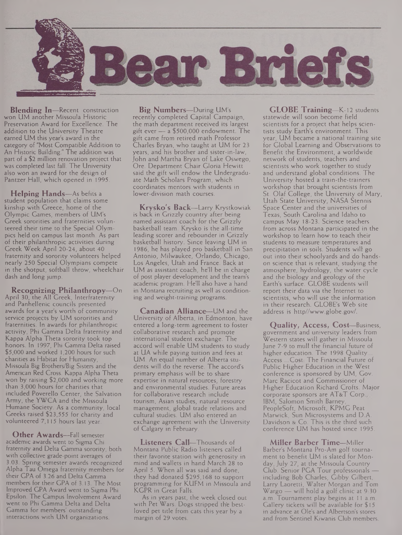

**Blending In—**Recent construction won UM another Missoula Historic Preservation Award for Excellence. The addition to the University Theatre earned UM this year's award in the category of "Most Compatible Addition to An Historic Building." The addition was part of a \$2 million renovation project that was completed last fall. The University also won an award for the design of Pantzer Hall, which opened in 1995.

**Helping Hands—**As befits <sup>a</sup> student population that claims some kinship with Greece, home of the Olympic Games, members of UM's Greek sororities and fraternities volunteered their time to the Special Olympics held on campus last month. As part of their philanthropic activities during Greek Week April 20-24, about 40 fraternity and sorority volunteers helped nearly 250 Special Olympians compete in the shotput, softball throw, wheelchair dash and long jump.

**Recognizing Philanthropy—**On April 30, the All Greek, Interfraternity and Panhellenic councils presented awards for a year's worth of community service projects by UM sororities and fraternities. In awards for philanthropic activity, Phi Gamma Delta fraternity and Kappa Alpha Theta sorority took top honors. In 1997, Phi Gamma Delta raised \$5,000 and worked 1,200 hours for such charities as Habitat for Humanity, Missoula Big Brothers/Big Sisters and the American Red Cross. Kappa Alpha Theta won by raising \$2,000 and working more than 3,000 hours for charities that included Poverello Center, the Salvation Army, the YWCA and the Missoula Humane Society. As a community, local Greeks raised \$23,555 for charity and volunteered 7,115 hours last year.

**Other Awards—**Fall semester academic awards went to Sigma Chi fraternity and Delta Gamma sorority, both with collective grade-point averages of 3.03. Spring semester awards recognized Alpha Tau Omega fraternity members for their GPA of 3.26 and Delta Gamma members for their GPA of 3.13. The Most Improved GPA Award went to Sigma Phi Epsilon. The Campus Involvement Award went to Phi Gamma Delta and Delta Gamma for members' outstanding interactions with UM organizations.

**Big Numbers—**During UM's recently completed Capital Campaign, the math department received its largest gift ever — a \$500,000 endowment. The gift came from retired math Professor Charles Bryan, who taught at UM for 23 years, and his brother and sister-in-law, John and Martha Bryan of Lake Oswego, Ore. Department Chair Gloria Hewitt said the gift will endow the Undergraduate Math Scholars Program, which coordinates mentors with students in lower-division math courses.

**Krysko's Back—**Larry Krystkowiak is back in Grizzly country after being named assistant coach for the Grizzly basketball team. Krysko is the all-time leading scorer and rebounder in Grizzly basketball history. Since leaving UM in 1986, he has played pro basketball in San Antonio, Milwaukee, Orlando, Chicago, Los Angeles, Utah and France. Back at UM as assistant coach, he'll be in charge of post player development and the team's academic program. He'll also have a hand in Montana recruiting as well as conditioning and weight-training programs.

**Canadian Alliance—**UM and the University of Alberta, in Edmonton, have entered a long-term agreement to foster collaborative research and promote international student exchange. The accord will enable UM students to study at UA while paying tuition and fees at UM. An equal number of Alberta students will do the reverse. The accord's primary emphasis will be to share expertise in natural resources, forestry and environmental studies. Future areas for collaborative research include tourism, Asian studies, natural resource management, global trade relations and cultural studies. UM also entered an exchange agreement with the University of Calgary in February.

**Listeners Call—**Thousands of Montana Public Radio listeners called their favorite station with generosity in mind and wallets in hand March 28 to April 5. When all was said and done, they had donated \$295,168 to support programming for KUFM in Missoula and KGPR in Great Falls.

As in years past, the week dosed out with Pet Wars. Dogs stripped th'e bestloved pet title from cats this year by a margin of 29 votes.

**GLOBE Training—**K-12 students statewide will soon become field scientists for a project that helps scientists study Earth's environment. This year, UM became a national training site for Global Learning and Observations to Benefit the Environment, a worldwide network of students, teachers and scientists who work together to study and understand global conditions. The University hosted a train-the-trainers workshop that brought scientists from St. Olaf College, the University of Mary, Utah State University, NASA Stennis Space Center and the universities of Texas, South Carolina and Idaho to campus May 18-23. Science teachers from across Montana participated in the workshop to learn how to teach their students to measure temperatures and precipitation in soils. Students will go out into their schoolyards and do handson science that is relevant, studying the atmosphere, hydrology, the water cycle and the biology and geology of the Earth's surface. GLOBE students will report their data via the Internet to scientists, who will use the information in their research. GLOBE's Web site address is <http//www.globe.gov/>.

**Quality, Access, Cost—**Business, government and university leaders from Western states will gather in Missoula June 7-9 to mull the financial future of higher education. The 1998 Quality. Access ...Cost: The Financial Future of Public Higher Education in the West conference is sponsored by UM, Gov. Marc Racicot and Commissioner of Higher Education Richard Crofts. Major corporate sponsors are AT&T Corp., IBM, Salomon Smith Barney, PeopleSoft, Microsoft, KPMG Peat Marwick, Sun Microsystems and D.A. Davidson & Co. This is the third such conference UM has hosted since 1995.

**Miller Barber Time—**Miller Barber's Montana Pro-Am golf tournament to benefit UM is slated for Monday, July 27, at the Missoula Country Club. Senior PGA Tour professionals including Bob Charles, Gibby Gilbert, Larry Laoretti, Walter Morgan and Tom Wargo — will hold a golf clinic at 9:30 a.m. Tournament play begins at <sup>11</sup> a.m. Gallery tickets will be available for \$15 in advance at Ole's and Albertson's stores and from Sentinel Kiwanis Club members.